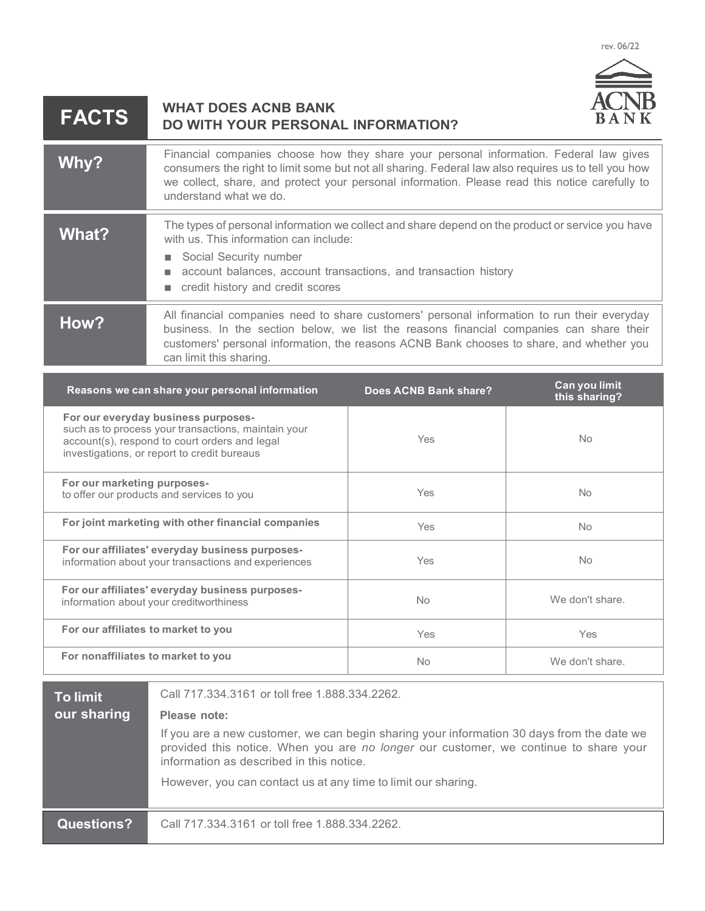rev. 06/22



## **WHAT DOES ACNB BANK DO WITH YOUR PERSONAL INFORMATION? FACTS**

| Why?  | Financial companies choose how they share your personal information. Federal law gives<br>consumers the right to limit some but not all sharing. Federal law also requires us to tell you how<br>we collect, share, and protect your personal information. Please read this notice carefully to<br>understand what we do. |
|-------|---------------------------------------------------------------------------------------------------------------------------------------------------------------------------------------------------------------------------------------------------------------------------------------------------------------------------|
| What? | The types of personal information we collect and share depend on the product or service you have<br>with us. This information can include:<br>Social Security number<br>account balances, account transactions, and transaction history<br>credit history and credit scores                                               |
| How?  | All financial companies need to share customers' personal information to run their everyday<br>business. In the section below, we list the reasons financial companies can share their<br>customers' personal information, the reasons ACNB Bank chooses to share, and whether you<br>can limit this sharing.             |

| Reasons we can share your personal information                                                                                                                                             | Does ACNB Bank share? | Can you limit<br>this sharing? |
|--------------------------------------------------------------------------------------------------------------------------------------------------------------------------------------------|-----------------------|--------------------------------|
| For our everyday business purposes-<br>such as to process your transactions, maintain your<br>account(s), respond to court orders and legal<br>investigations, or report to credit bureaus | Yes                   | No.                            |
| For our marketing purposes-<br>to offer our products and services to you                                                                                                                   | Yes                   | No.                            |
| For joint marketing with other financial companies                                                                                                                                         | Yes                   | No.                            |
| For our affiliates' everyday business purposes-<br>information about your transactions and experiences                                                                                     | Yes                   | No                             |
| For our affiliates' everyday business purposes-<br>information about your creditworthiness                                                                                                 | No                    | We don't share.                |
| For our affiliates to market to you                                                                                                                                                        | <b>Yes</b>            | <b>Yes</b>                     |
| For nonaffiliates to market to you                                                                                                                                                         | <b>No</b>             | We don't share.                |

| <b>To limit</b><br>our sharing | Call 717, 334, 3161 or toll free 1, 888, 334, 2262.<br>Please note:<br>If you are a new customer, we can begin sharing your information 30 days from the date we<br>provided this notice. When you are no longer our customer, we continue to share your<br>information as described in this notice.<br>However, you can contact us at any time to limit our sharing. |
|--------------------------------|-----------------------------------------------------------------------------------------------------------------------------------------------------------------------------------------------------------------------------------------------------------------------------------------------------------------------------------------------------------------------|
| <b>Questions?</b>              | Call 717, 334, 3161 or toll free 1, 888, 334, 2262.                                                                                                                                                                                                                                                                                                                   |